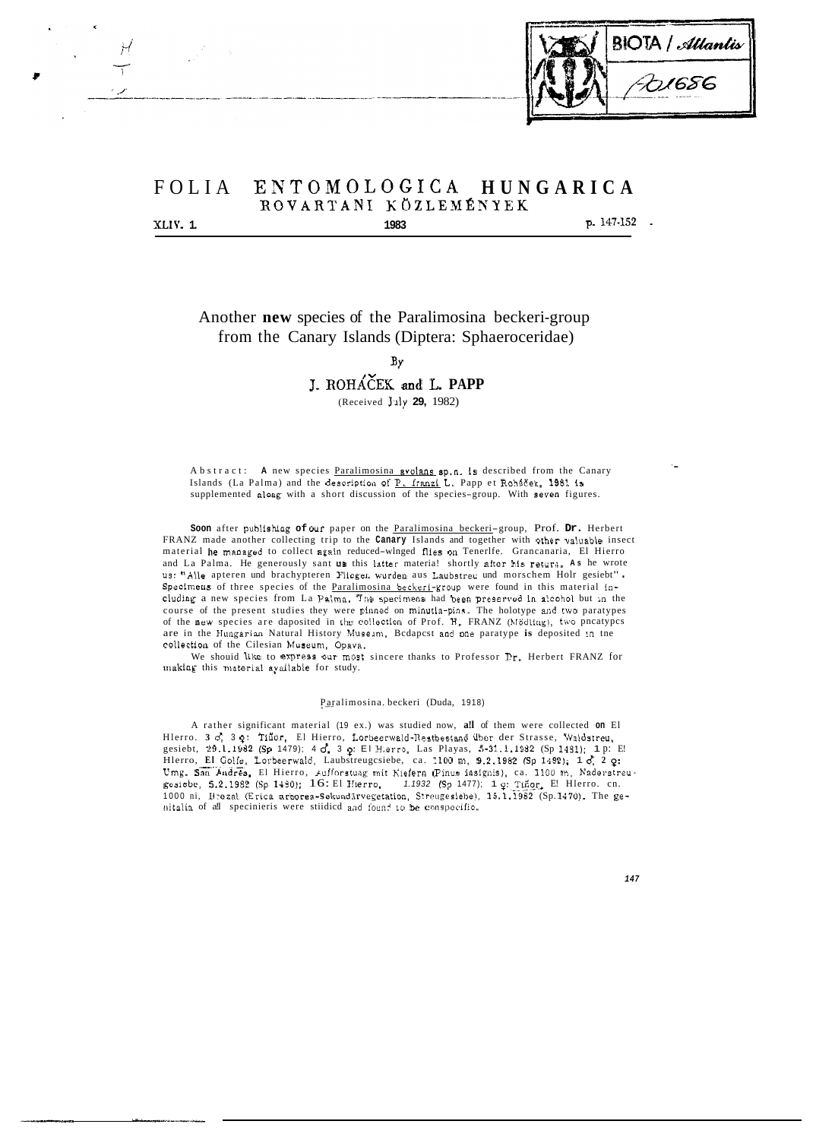

# FOLIA EIVTOMOLOGICA **HUNGARICA ROVARTANI KOZLEXÉKYEK XLIV. 1. 1. 1. 1983 p.** 147-152 **. 1983**

Another **new** species of the Paralimosina beckeri-group from the Canary Islands (Diptera: Sphaeroceridae)

**BY** 

## J. ROHAEEK **anci** L. **PAPP**

(Received **Juiy 29,** 1982)

Abstract: **A** new species Paralimosina avolans 6p.n. **1s** described from the Canary Islands (La Palma) and the description of P. Iranzi L. Papp et Rohacek, 1981 is supplemented along with a short discussion of the species-group. With seven figures.

Soon after publishing of our paper on the Paralimosina beckeri-group, Prof. Dr. Herbert FRANZ made another collecting trip to the **Canary** Islands and together with other valuable insect material he managed to collect aga!n reduced-wlnged flies **on** Tenerlfe. Grancanaria, El Hierro and La Palma. He generously sant us this latter materia! shortly after his return. As he wrote us: "Alle apteren und brachypteren Fliegen wurden aus Laubstreu und morschem Holr gesiebt". Specimens of three species of the Paralimosina beckeri-group were found in this material including a new species from La Palma. The specimens had been preserved in alcohol but in the course of the present studies they were piiined on minutla-pins. The holotype and **two** paratypes of the new species are daposited in the collection of Prof. H. FRANZ (Mödling), two pncatypcs are in the Hungarian Natural History Museum, Bcdapcst and one paratype is deposited in tne collection of the Cilesian **Museuni,** Opava.

making this material available for study. We shouid **like** to express our most sincere thanks to Professor Er. Herbert FRANZ for

#### Paralimosina. beckeri (Duda, 1918)

A rather significant material (19 ex.) was studied now, **a!l** of them were collected **on** El Hlerro. 3 d. 3 q: Tiñor, El Hierro, Lorbeerwald-Restbestand über der Strasse, Waldstreu, gesiebt, 29.1.1982 (Sp 1479); 4 *d*, 3 *o*: El Hierro, Las Playas, 5-31.1.1932 (Sp 1481); 1 p: E! Hlerro, **El** Coife, Lorbeerwald, Laubstreugcsiebe, ca. 1100 m, 9.2.1982 (Sp 14921; 1 **d, 2** *0:*  Umg. San Andrés, El Hierro, Aufforstung mit Kiefern (Pinus insignis), ca. 1100 m, Naderstreu<br>gesiebe, 5.2.1982 (Sp 1430); 16: El Hierro, -- 1.1932 (Sp 1477); 1 ç: Tiñor, E! Hlerro. cn.<br>1000 ni, Brezal (Erica arborea-Sekund nitalia of all specinieris were stiidicd and found to be conspecific.

*147*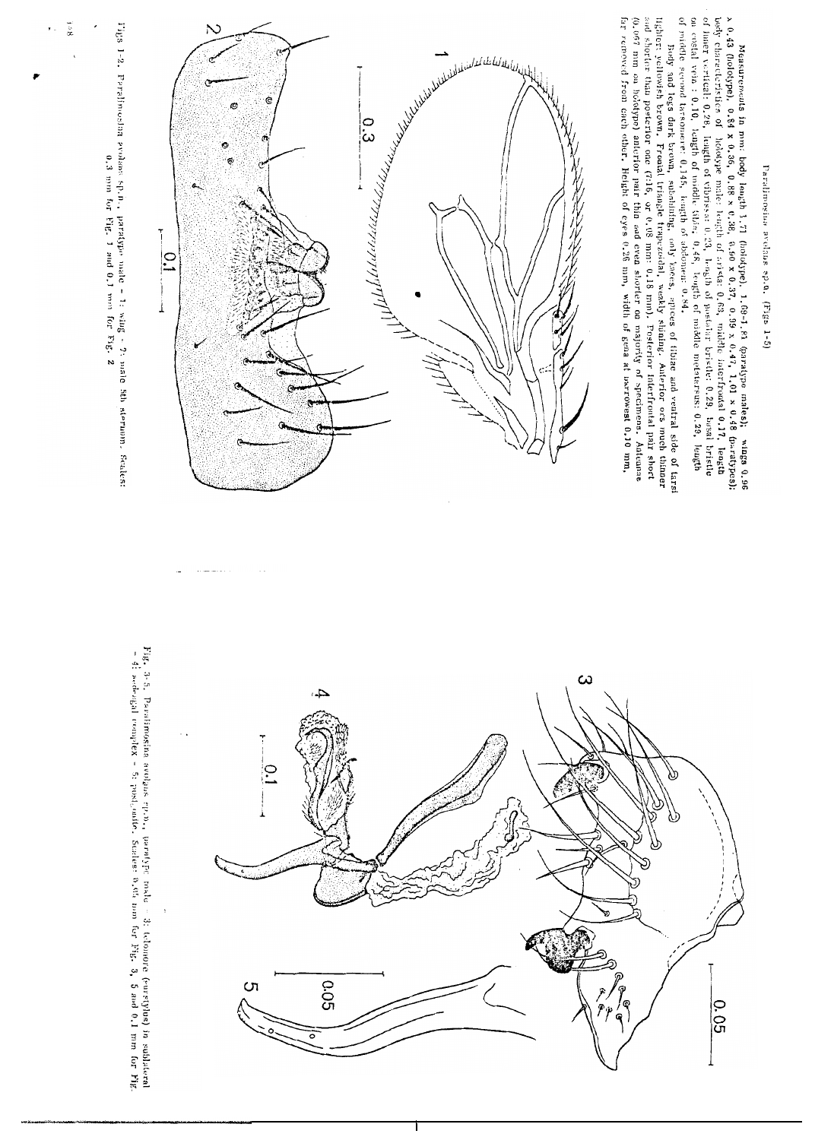Paralimosina avelans sp.n. (Figs 1-5)

of ruiddle second tarsomere: 0.145, length of abdomen: 0.84. on costal vein : 0.10, length of middle fibis: 0.48, length of middle metatarsus: 0.29, length of inner vertical: 0.28, length of vibrissa: 0.23, length of postalar bristle: 0.29, bassal bristle body characteristics of holotype male: length of aristia: 0.63, middle interfrontal 0.17, length Measurements in mm: body length 1.71 (holotype), 1.69-1.81 (paratype males); wings 0.96 of  $(9.947, 1.01 \times 0.34)$  and  $(9.96, 0.88 \times 0.38, 0.80 \times 0.37, 0.99 \times 0.947, 1.01 \times 0.48$  (paratypes);

far removed from cach other. Height of eyes 0.26 mm, width of gena at narrowest 0.10 mm, (0,067 mm on holotype) anterior pair thin and even shorter on majority of specimens. Antennae and shorter than posterior one (7:16, or 0.08 mm: 0.18 mm). Posterior interfrontal pair short lighter: yellowish brown. Frontal triangle trapezoidal, weakly shining. Anterior ors much thinner Body and legs dark brown, subshuing, only knees, apices of fibrae and ventral side of tarsi





Tigs 1-2. Parallmost<br>an evolute sp., p. profess  $\alpha$ , the protection and  $\alpha$ ,<br>1 mm for Fig. 2

 $\tilde{\mathbf{a}}$ 

Fig. 3-5. Paralimosina avolans ep.n., paralype nade - 3: telomore (surstylus) in sublateral - 4: acdengla tendinosina avolans ep.n., paralype 5. as a complex - 5: post\_outle. Suches: 0.40; on the SE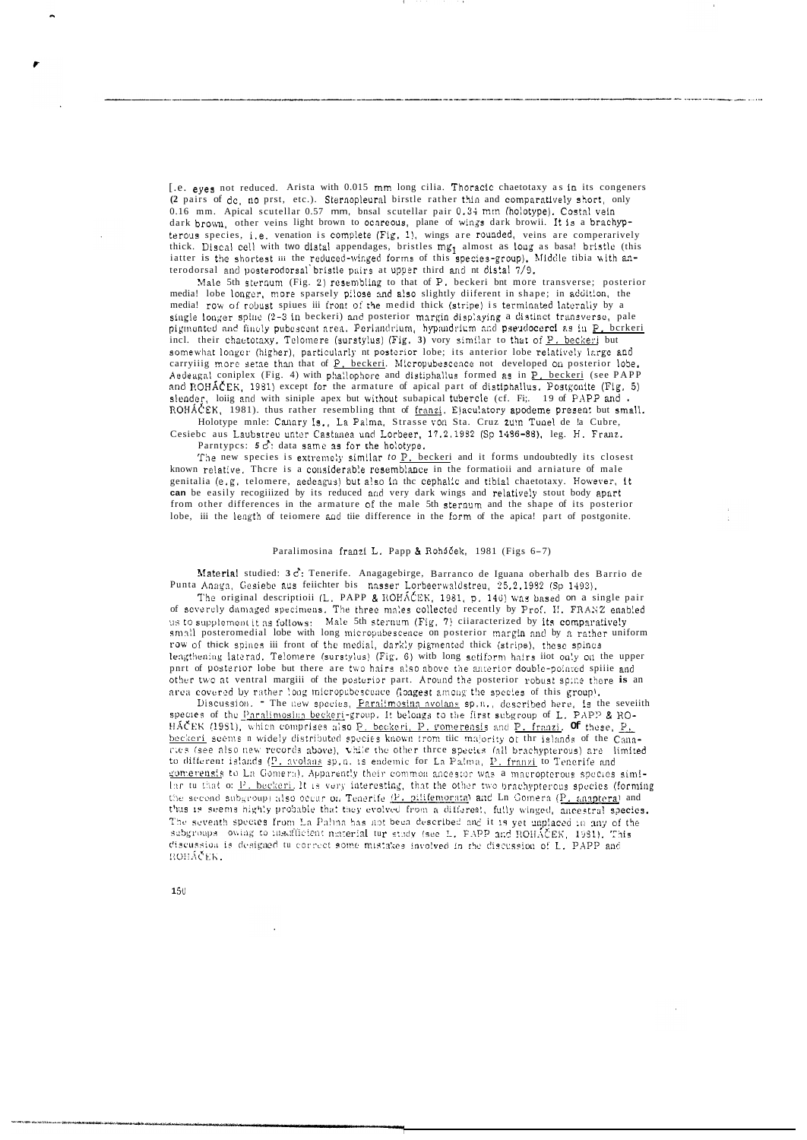[.e. eyes not reduced. Arista with 0.015 mm long cilia. Thoracic chaetotaxy as in its congeners (2 pairs of de, no prst, etc.). Sternopleural birstle rather thin and comparatively short, only 0.16 mm. Apical scutellar 0.57 mm, bnsal scutellar pair 0.34 mm (holotype). Costal vein dark brown, other veins light brown to ocareous, plane of wings dark browii. It is a brachypterous species, i.e. venation is complete (Fig. 1), wings are rounded, veins are comperarively thick. Discal cell with two distal appendages, bristles mg<sub>1</sub> almost as long as basa! bristle (this iatter is the shortest iii the reduced-winged forms of this species-group). Middle tibia with anterodorsal and posterodorsal bristle pairs at upper third and nt distal 7/9.

Male 5th sternum (Fig. 2) resembling to that of P. beckeri bnt more transverse; posterior media! lobe longer, more sparsely pilose and also slightly diiferent in shape; in addition, the media! row of robust spines iii front of the medid thick (stripe) is terminated laterally by a<br>single longer spline (2-3 in beckeri) and posterior margin displaying a distinct transverse, pale pigmented and finely pubescent area. Perlandrium, hypandrium and pseudocercl as in P. berkeri incl. their chaetotaxy, Telomere (surstylus) (Fig. 3) vory similar to that of P. beckeri but somewhat longer (higher), particularly nt posterior lobe; its anterior lobe relatively large and carryilig more setae than that of P. beckeri. Micropubescence not developed on posterior lobe Aedeagal coniplex (Fig. 4) with phallophore and distiphallus formed as in P. beckeri (see PAPP and ROHÁČEK, 1981) except for the armature of apical part of distiphallus. Postgonite (Fig. 5) slender, loiig and with siniple apex but without subapical tubercle (cf. Fi;. 19 of PAPP and a ROHÁČEK, 1981). thus rather resembling thnt of franzi. Ejaculatory apodeme present but small.

Holotype mnle: Canary Is., La Palma, Strasse von Sta. Cruz zum Tunel de la Cubre, Cesiebc aus Laubstreu unter Castanea und Lorbeer, 17.2.1982 (Sp 1436-88), leg. H. Franz.

Parntypes:  $5\overrightarrow{C}$ : data same as for the holotype.

The new species is extremely similar to P. beckeri and it forms undoubtedly its closest known relative. There is a considerable resemblance in the formatioii and arniature of male genitalia (e.g. telomere, aedeagus) but also in the cephalic and tibial chaetotaxy. However, it can be easily recogiiized by its reduced and very dark wings and relatively stout body apart from other differences in the armature of the male 5th sternum and the shape of its posterior lobe, iii the length of teiomere and tiie difference in the form of the apica! part of postgonite.

#### Paralimosina franzi L. Papp & Roháček, 1981 (Figs 6-7)

Material studied: 3 c: Tenerife. Anagagebirge, Barranco de Iguana oberhalb des Barrio de Punta Anaga, Gesiebe aus feiichter bis nasser Lorbeerwaldstreu, 25.2.1932 (Sp 1493).

The original descriptioii (L. PAPP & ROHÂCEK, 1981, p. 140) was based on a single pair of severely damaged specimens. The three males collected recently by Prof. II. FRANZ enabled us to supplement it as follows: Male 5th sternum (Fig. 7) cilaracterized by its comparatively small posteromedial lobe with long micropubescence on posterior margin and by a rather uniform row of thick spines iii front of the medial, darkly pigmented thick (stripe), these spines lengthening laterad. Telomere (surstylus) (Fig. 6) with long setiform hairs iiot only on the upper pnrt of posterior lobe but there are two hairs also above the amerior double-pointed spille and other two at ventral margiii of the posterior part. Around the posterior robust spine there is an area covered by rather long micropubescence (longest among the species of this group).

Discussion. The new species, Paralimosina avolans sp.n., described here, is the seveilth species of the Paralimosina beckeri-group. It belongs to the first subgroup of L. PAP? & RO-HAČEK (1981), which comprises also P. beckeri, P. romerensis and P. franzi, Of these, P. beckeri seems a widely distributed species known from the majority of the islands of the Cana-<br>ries (see also new records above), while the other three species (all brachypterous) are limited to different islands (P. avolans sp.n. is endemic for La Palma, P. franzi to Tenerife and gomerensis to La Gomera). Apparently their common ancestor was a macropterous species similar tu that of P. beckeri, It is very interesting, that the other two brachypterous species (forming the second subgroup) also occur on Tenerife (P. pilitemorata) and Ln Gomera (P. anaptera) and thus is seems highly probable that they evolved from a different, fully winged, ancestral species. The seventh species from La Palma has not been described and it is yet unplaced in any of the subgroups owing to insufficient material tur study (see L. PAPP and ROHAČEK, 1981). This discussion is designed tu correct some mistakes involved in the discussion of L. PAPP and ROHÁČEK.

 $150$